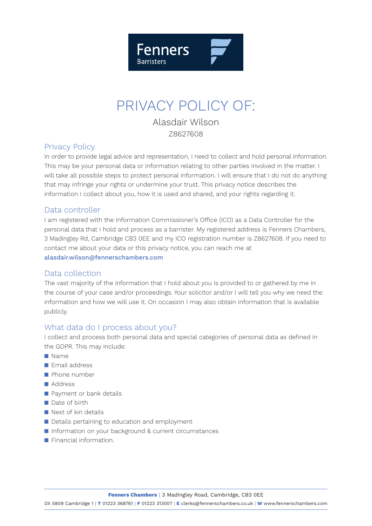

# PRIVACY POLICY OF:

Alasdair Wilson Z8627608

## Privacy Policy

In order to provide legal advice and representation, I need to collect and hold personal information. This may be your personal data or information relating to other parties involved in the matter. I will take all possible steps to protect personal information. I will ensure that I do not do anything that may infringe your rights or undermine your trust. This privacy notice describes the information I collect about you, how it is used and shared, and your rights regarding it.

## Data controller

I am registered with the Information Commissioner's Office (ICO) as a Data Controller for the personal data that I hold and process as a barrister. My registered address is Fenners Chambers, 3 Madingley Rd, Cambridge CB3 0EE and my ICO registration number is Z8627608. If you need to contact me about your data or this privacy notice, you can reach me at alasdair.wilson@fennerschambers.com

### Data collection

The vast majority of the information that I hold about you is provided to or gathered by me in the course of your case and/or proceedings. Your solicitor and/or I will tell you why we need the information and how we will use it. On occasion I may also obtain information that is available publicly.

## What data do I process about you?

I collect and process both personal data and special categories of personal data as defined in the GDPR. This may include:

- $\blacksquare$  Name
- $\blacksquare$  Email address
- **n** Phone number
- **■** Address
- **n** Payment or bank details
- $\blacksquare$  Date of birth
- $\blacksquare$  Next of kin details
- Details pertaining to education and employment
- **n** Information on your background & current circumstances
- **n** Financial information.

**Fenners Chambers** | 3 Madingley Road, Cambridge, CB3 0EE

DX 5809 Cambridge 1 | **T** 01223 368761 | **F** 01223 313007 | **E** clerks@fennerschambers.co.uk | **W** www.fennerschambers.com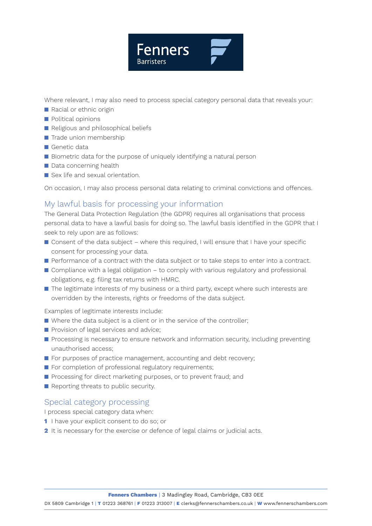

Where relevant, I may also need to process special category personal data that reveals your:

- **n** Racial or ethnic origin
- **n** Political opinions
- Religious and philosophical beliefs
- $\blacksquare$  Trade union membership
- $\blacksquare$  Genetic data
- Biometric data for the purpose of uniquely identifying a natural person
- $\blacksquare$  Data concerning health
- $\blacksquare$  Sex life and sexual orientation.

On occasion, I may also process personal data relating to criminal convictions and offences.

## My lawful basis for processing your information

The General Data Protection Regulation (the GDPR) requires all organisations that process personal data to have a lawful basis for doing so. The lawful basis identified in the GDPR that I seek to rely upon are as follows:

- $\blacksquare$  Consent of the data subject where this required, I will ensure that I have your specific consent for processing your data.
- **n** Performance of a contract with the data subject or to take steps to enter into a contract.
- $\blacksquare$  Compliance with a legal obligation to comply with various regulatory and professional obligations, e.g. filing tax returns with HMRC.
- $\blacksquare$  The legitimate interests of my business or a third party, except where such interests are overridden by the interests, rights or freedoms of the data subject.

Examples of legitimate interests include:

- $\blacksquare$  Where the data subject is a client or in the service of the controller;
- $\blacksquare$  Provision of legal services and advice;
- **n** Processing is necessary to ensure network and information security, including preventing unauthorised access;
- $\blacksquare$  For purposes of practice management, accounting and debt recovery;
- $\blacksquare$  For completion of professional regulatory requirements;
- **n** Processing for direct marketing purposes, or to prevent fraud; and
- $\blacksquare$  Reporting threats to public security.

## Special category processing

I process special category data when:

- **1** I have your explicit consent to do so; or
- **2** It is necessary for the exercise or defence of legal claims or judicial acts.

DX 5809 Cambridge 1 | **T** 01223 368761 | **F** 01223 313007 | **E** clerks@fennerschambers.co.uk | **W** www.fennerschambers.com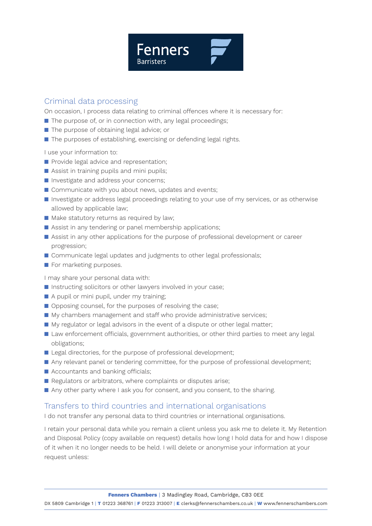

## Criminal data processing

On occasion, I process data relating to criminal offences where it is necessary for:

- $\blacksquare$  The purpose of, or in connection with, any legal proceedings;
- $\blacksquare$  The purpose of obtaining legal advice; or
- $\blacksquare$  The purposes of establishing, exercising or defending legal rights.

I use your information to:

- **n** Provide legal advice and representation;
- $\blacksquare$  Assist in training pupils and mini pupils;
- **n** Investigate and address your concerns;
- $\blacksquare$  Communicate with you about news, updates and events;
- **n** Investigate or address legal proceedings relating to your use of my services, or as otherwise allowed by applicable law;
- $\blacksquare$  Make statutory returns as required by law;
- $\blacksquare$  Assist in any tendering or panel membership applications;
- **n** Assist in any other applications for the purpose of professional development or career progression;
- Communicate legal updates and judgments to other legal professionals;
- $\blacksquare$  For marketing purposes.

I may share your personal data with:

- n Instructing solicitors or other lawyers involved in your case;
- $\blacksquare$  A pupil or mini pupil, under my training;
- $\Box$  Opposing counsel, for the purposes of resolving the case;
- My chambers management and staff who provide administrative services;
- My regulator or legal advisors in the event of a dispute or other legal matter;
- **n** Law enforcement officials, government authorities, or other third parties to meet any legal obligations;
- Legal directories, for the purpose of professional development;
- Any relevant panel or tendering committee, for the purpose of professional development;
- $\blacksquare$  Accountants and banking officials;
- Regulators or arbitrators, where complaints or disputes arise;
- Any other party where I ask you for consent, and you consent, to the sharing.

### Transfers to third countries and international organisations

I do not transfer any personal data to third countries or international organisations.

I retain your personal data while you remain a client unless you ask me to delete it. My Retention and Disposal Policy (copy available on request) details how long I hold data for and how I dispose of it when it no longer needs to be held. I will delete or anonymise your information at your request unless: